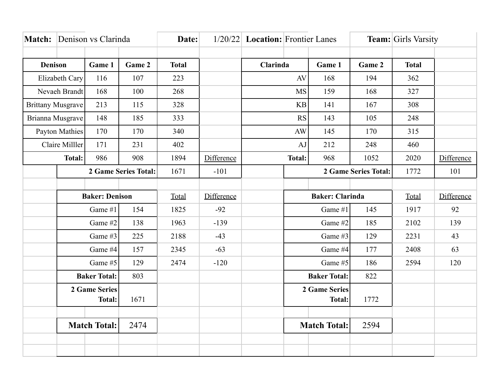|                       |                          | Match: Denison vs Clarinda |        | Date:        |            | $1/20/22$ <b>Location:</b> Frontier Lanes |                     |                                     |        | <b>Team:</b> Girls Varsity |            |
|-----------------------|--------------------------|----------------------------|--------|--------------|------------|-------------------------------------------|---------------------|-------------------------------------|--------|----------------------------|------------|
|                       |                          |                            |        |              |            |                                           |                     |                                     |        |                            |            |
| <b>Denison</b>        |                          | Game 1                     | Game 2 | <b>Total</b> |            | <b>Clarinda</b>                           |                     | Game 1                              | Game 2 | <b>Total</b>               |            |
| Elizabeth Cary        |                          | 116                        | 107    | 223          |            | AV                                        |                     | 168                                 | 194    | 362                        |            |
|                       | Nevaeh Brandt            | 168                        | 100    | 268          |            |                                           | <b>MS</b>           | 159                                 | 168    | 327                        |            |
|                       | <b>Brittany Musgrave</b> | 213                        | 115    | 328          |            |                                           | KB                  | 141                                 | 167    | 308                        |            |
|                       | Brianna Musgrave         | 148                        | 185    | 333          |            |                                           | <b>RS</b>           | 143                                 | 105    | 248                        |            |
| <b>Payton Mathies</b> |                          | 170                        | 170    | 340          |            | <b>AW</b>                                 |                     | 145                                 | 170    | 315                        |            |
|                       | Claire Milller           | 171                        | 231    | 402          |            |                                           | AJ                  | 212                                 | 248    | 460                        |            |
|                       | <b>Total:</b>            | 986                        | 908    | 1894         | Difference |                                           | <b>Total:</b>       | 968                                 | 1052   | 2020                       | Difference |
|                       | 2 Game Series Total:     |                            | 1671   | $-101$       |            |                                           |                     | <b>2 Game Series Total:</b><br>1772 |        | 101                        |            |
|                       |                          |                            |        |              |            |                                           |                     |                                     |        |                            |            |
| <b>Baker: Denison</b> |                          |                            | Total  | Difference   |            | <b>Baker: Clarinda</b>                    |                     |                                     | Total  | Difference                 |            |
|                       | Game #1                  |                            | 154    | 1825         | $-92$      |                                           | Game #1             |                                     | 145    | 1917                       | 92         |
|                       |                          | Game #2                    | 138    | 1963         | $-139$     |                                           |                     | Game #2                             | 185    | 2102                       | 139        |
|                       |                          | Game #3                    | 225    | 2188         | $-43$      |                                           |                     | Game #3                             | 129    | 2231                       | 43         |
|                       |                          | Game #4                    | 157    | 2345         | $-63$      |                                           |                     | Game #4                             | 177    | 2408                       | 63         |
|                       | Game #5                  |                            | 129    | 2474         | $-120$     |                                           | Game #5             |                                     | 186    | 2594                       | 120        |
|                       | <b>Baker Total:</b>      |                            | 803    |              |            |                                           | <b>Baker Total:</b> |                                     | 822    |                            |            |
|                       | 2 Game Series            |                            |        |              |            |                                           | 2 Game Series       |                                     |        |                            |            |
|                       | <b>Total:</b>            |                            | 1671   |              |            |                                           |                     | <b>Total:</b>                       | 1772   |                            |            |
|                       |                          |                            |        |              |            |                                           |                     |                                     |        |                            |            |
|                       |                          | <b>Match Total:</b>        | 2474   |              |            |                                           | <b>Match Total:</b> |                                     | 2594   |                            |            |
|                       |                          |                            |        |              |            |                                           |                     |                                     |        |                            |            |
|                       |                          |                            |        |              |            |                                           |                     |                                     |        |                            |            |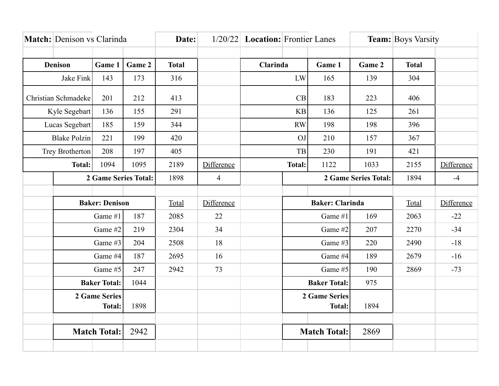| Match: Denison vs Clarinda     |                     | Date:                 |                      | $1/20/22$ <b>Location:</b> Frontier Lanes |                | <b>Team:</b> Boys Varsity             |               |                        |                      |              |            |
|--------------------------------|---------------------|-----------------------|----------------------|-------------------------------------------|----------------|---------------------------------------|---------------|------------------------|----------------------|--------------|------------|
|                                |                     |                       |                      |                                           |                |                                       |               |                        |                      |              |            |
| Denison                        |                     | Game 1                | Game 2               | <b>Total</b>                              |                | Clarinda                              |               | Game 1                 | Game 2               | <b>Total</b> |            |
|                                | Jake Fink           | 143                   | 173                  | 316                                       |                |                                       | LW            | 165                    | 139                  | 304          |            |
|                                | Christian Schmadeke | 201                   | 212                  | 413                                       |                |                                       | CB            | 183                    | 223                  | 406          |            |
|                                | Kyle Segebart       | 136                   | 155                  | 291                                       |                |                                       | <b>KB</b>     | 136                    | 125                  | 261          |            |
|                                | Lucas Segebart      | 185                   | 159                  | 344                                       |                |                                       | RW            | 198                    | 198                  | 396          |            |
|                                | <b>Blake Polzin</b> | 221                   | 199                  | 420                                       |                |                                       | OJ            | 210                    | 157                  | 367          |            |
|                                | Trey Brotherton     | 208                   | 197                  | 405                                       |                |                                       | TB            | 230                    | 191                  | 421          |            |
|                                | <b>Total:</b>       | 1094                  | 1095                 | 2189                                      | Difference     |                                       | <b>Total:</b> | 1122                   | 1033                 | 2155         | Difference |
|                                |                     |                       | 2 Game Series Total: | 1898                                      | $\overline{4}$ |                                       |               |                        | 2 Game Series Total: | 1894         | $-4$       |
|                                |                     |                       |                      |                                           |                |                                       |               |                        |                      |              |            |
|                                |                     | <b>Baker: Denison</b> |                      | Total                                     | Difference     |                                       |               | <b>Baker: Clarinda</b> |                      | Total        | Difference |
|                                |                     | Game #1               | 187                  | 2085                                      | 22             |                                       |               | Game #1                | 169                  | 2063         | $-22$      |
|                                |                     | Game #2               | 219                  | 2304                                      | 34             |                                       |               | Game #2                | 207                  | 2270         | $-34$      |
|                                |                     | Game #3               | 204                  | 2508                                      | 18             |                                       |               | Game #3                | 220                  | 2490         | $-18$      |
|                                |                     | Game #4               | 187                  | 2695                                      | 16             |                                       |               | Game #4                | 189                  | 2679         | $-16$      |
|                                |                     | Game #5               | 247                  | 2942                                      | 73             |                                       |               | Game #5                | 190                  | 2869         | $-73$      |
|                                |                     | <b>Baker Total:</b>   | 1044                 |                                           |                |                                       |               | <b>Baker Total:</b>    | 975                  |              |            |
| 2 Game Series<br><b>Total:</b> |                     | 1898                  |                      |                                           |                | <b>2 Game Series</b><br><b>Total:</b> |               | 1894                   |                      |              |            |
|                                |                     |                       |                      |                                           |                |                                       |               |                        |                      |              |            |
|                                | <b>Match Total:</b> |                       | 2942                 |                                           |                |                                       |               | <b>Match Total:</b>    | 2869                 |              |            |
|                                |                     |                       |                      |                                           |                |                                       |               |                        |                      |              |            |